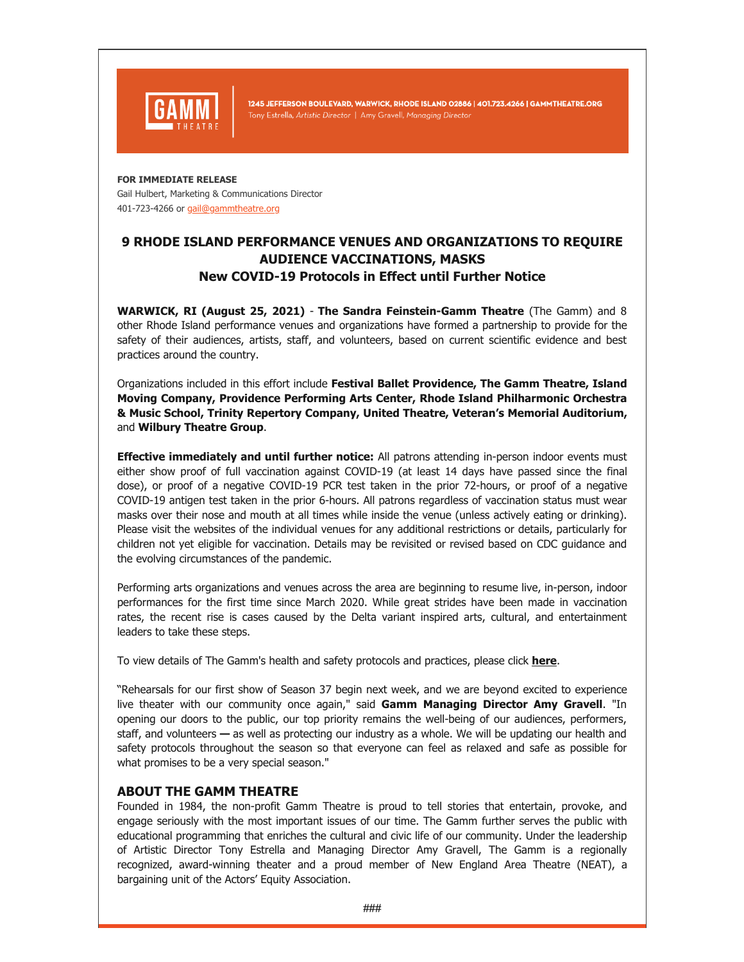

1245 JEFFERSON BOULEVARD, WARWICK, RHODE ISLAND 02886 | 401.723.4266 | GAMMTHEATRE.ORG Tony Estrella, Artistic Director | Amy Gravell, Managing Director

## **FOR IMMEDIATE RELEASE**

Gail Hulbert, Marketing & Communications Director 401-723-4266 or [gail@gammtheatre.org](mailto:gail@gammtheatre.org)

## **9 RHODE ISLAND PERFORMANCE VENUES AND ORGANIZATIONS TO REQUIRE AUDIENCE VACCINATIONS, MASKS New COVID-19 Protocols in Effect until Further Notice**

**WARWICK, RI (August 25, 2021)** - **The Sandra Feinstein-Gamm Theatre** (The Gamm) and 8 other Rhode Island performance venues and organizations have formed a partnership to provide for the safety of their audiences, artists, staff, and volunteers, based on current scientific evidence and best practices around the country.

Organizations included in this effort include **Festival Ballet Providence, The Gamm Theatre, Island Moving Company, Providence Performing Arts Center, Rhode Island Philharmonic Orchestra & Music School, Trinity Repertory Company, United Theatre, Veteran's Memorial Auditorium,** and **Wilbury Theatre Group**.

**Effective immediately and until further notice:** All patrons attending in-person indoor events must either show proof of full vaccination against COVID-19 (at least 14 days have passed since the final dose), or proof of a negative COVID-19 PCR test taken in the prior 72-hours, or proof of a negative COVID-19 antigen test taken in the prior 6-hours. All patrons regardless of vaccination status must wear masks over their nose and mouth at all times while inside the venue (unless actively eating or drinking). Please visit the websites of the individual venues for any additional restrictions or details, particularly for children not yet eligible for vaccination. Details may be revisited or revised based on CDC guidance and the evolving circumstances of the pandemic.

Performing arts organizations and venues across the area are beginning to resume live, in-person, indoor performances for the first time since March 2020. While great strides have been made in vaccination rates, the recent rise is cases caused by the Delta variant inspired arts, cultural, and entertainment leaders to take these steps.

To view details of The Gamm's health and safety protocols and practices, please click **[here](https://www.gammtheatre.org/post/updated-health-and-safety-protocols)**.

"Rehearsals for our first show of Season 37 begin next week, and we are beyond excited to experience live theater with our community once again," said **Gamm Managing Director Amy Gravell**. "In opening our doors to the public, our top priority remains the well-being of our audiences, performers, staff, and volunteers **—** as well as protecting our industry as a whole. We will be updating our health and safety protocols throughout the season so that everyone can feel as relaxed and safe as possible for what promises to be a very special season."

## **ABOUT THE GAMM THEATRE**

Founded in 1984, the non-profit Gamm Theatre is proud to tell stories that entertain, provoke, and engage seriously with the most important issues of our time. The Gamm further serves the public with educational programming that enriches the cultural and civic life of our community. Under the leadership of Artistic Director Tony Estrella and Managing Director Amy Gravell, The Gamm is a regionally recognized, award-winning theater and a proud member of New England Area Theatre (NEAT), a bargaining unit of the Actors' Equity Association.